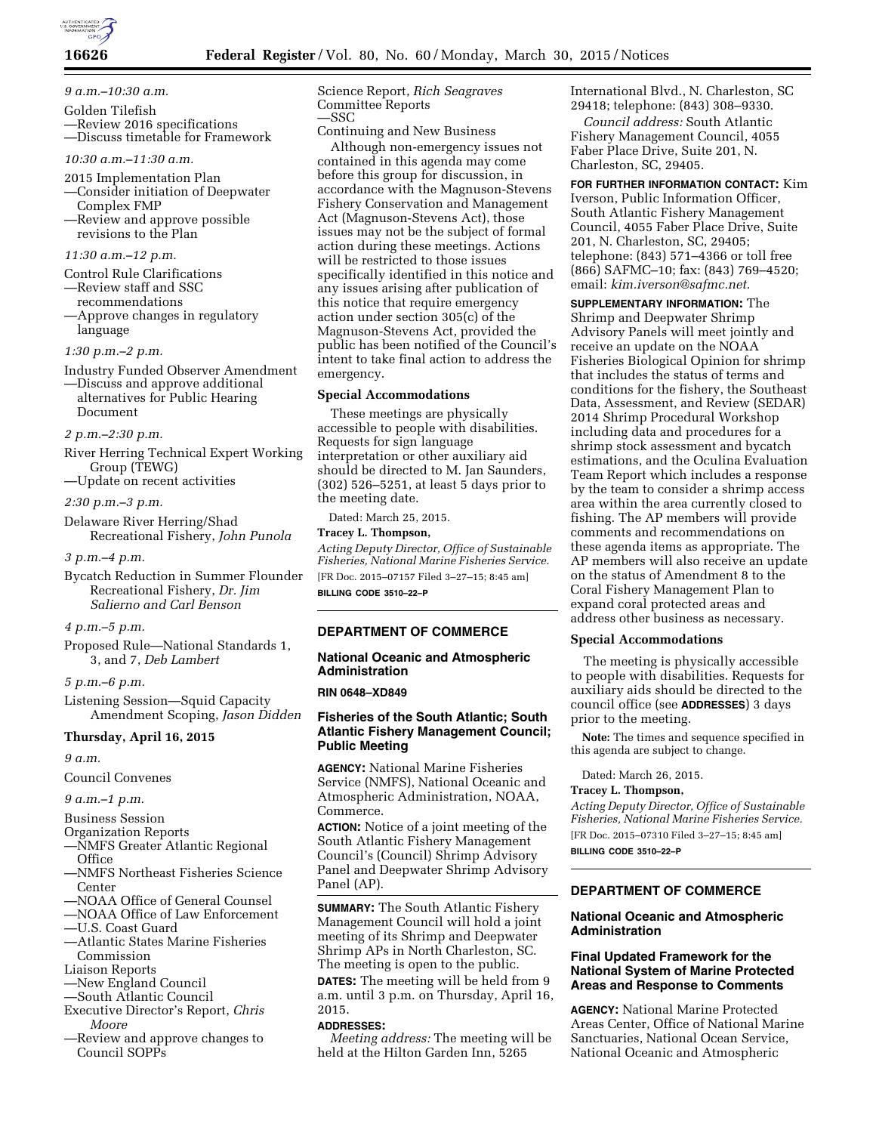

## **16626 Federal Register** / Vol. 80, No. 60 / Monday, March 30, 2015 / Notices

# *9 a.m.–10:30 a.m.*

- Golden Tilefish —Review 2016 specifications —Discuss timetable for Framework
- *10:30 a.m.–11:30 a.m.*
- 2015 Implementation Plan
- —Consider initiation of Deepwater Complex FMP
- —Review and approve possible revisions to the Plan

### *11:30 a.m.–12 p.m.*

- Control Rule Clarifications
- —Review staff and SSC recommendations
- —Approve changes in regulatory language

## *1:30 p.m.–2 p.m.*

- Industry Funded Observer Amendment
- —Discuss and approve additional alternatives for Public Hearing Document

# *2 p.m.–2:30 p.m.*

- River Herring Technical Expert Working Group (TEWG)
- —Update on recent activities

# *2:30 p.m.–3 p.m.*

Delaware River Herring/Shad Recreational Fishery, *John Punola* 

### *3 p.m.–4 p.m.*

Bycatch Reduction in Summer Flounder Recreational Fishery, *Dr. Jim Salierno and Carl Benson* 

# *4 p.m.–5 p.m.*

Proposed Rule—National Standards 1, 3, and 7, *Deb Lambert* 

### *5 p.m.–6 p.m.*

Listening Session—Squid Capacity Amendment Scoping, *Jason Didden* 

# **Thursday, April 16, 2015**

### *9 a.m.*

Council Convenes

## *9 a.m.–1 p.m.*

- Business Session
- Organization Reports
- —NMFS Greater Atlantic Regional **Office**
- —NMFS Northeast Fisheries Science Center
- —NOAA Office of General Counsel
- —NOAA Office of Law Enforcement
- —U.S. Coast Guard
- —Atlantic States Marine Fisheries Commission
- Liaison Reports
- —New England Council
- —South Atlantic Council
- Executive Director's Report, *Chris Moore*
- —Review and approve changes to Council SOPPs

Science Report, *Rich Seagraves*  Committee Reports —SSC

Continuing and New Business

Although non-emergency issues not contained in this agenda may come before this group for discussion, in accordance with the Magnuson-Stevens Fishery Conservation and Management Act (Magnuson-Stevens Act), those issues may not be the subject of formal action during these meetings. Actions will be restricted to those issues specifically identified in this notice and any issues arising after publication of this notice that require emergency action under section 305(c) of the Magnuson-Stevens Act, provided the public has been notified of the Council's intent to take final action to address the emergency.

### **Special Accommodations**

These meetings are physically accessible to people with disabilities. Requests for sign language interpretation or other auxiliary aid should be directed to M. Jan Saunders, (302) 526–5251, at least 5 days prior to the meeting date.

Dated: March 25, 2015.

# **Tracey L. Thompson,**

*Acting Deputy Director, Office of Sustainable Fisheries, National Marine Fisheries Service.*  [FR Doc. 2015–07157 Filed 3–27–15; 8:45 am]

**BILLING CODE 3510–22–P** 

# **DEPARTMENT OF COMMERCE**

## **National Oceanic and Atmospheric Administration**

### **RIN 0648–XD849**

# **Fisheries of the South Atlantic; South Atlantic Fishery Management Council; Public Meeting**

**AGENCY:** National Marine Fisheries Service (NMFS), National Oceanic and Atmospheric Administration, NOAA, Commerce.

**ACTION:** Notice of a joint meeting of the South Atlantic Fishery Management Council's (Council) Shrimp Advisory Panel and Deepwater Shrimp Advisory Panel (AP).

**SUMMARY:** The South Atlantic Fishery Management Council will hold a joint meeting of its Shrimp and Deepwater Shrimp APs in North Charleston, SC. The meeting is open to the public. **DATES:** The meeting will be held from 9 a.m. until 3 p.m. on Thursday, April 16, 2015.

#### **ADDRESSES:**

*Meeting address:* The meeting will be held at the Hilton Garden Inn, 5265

International Blvd., N. Charleston, SC 29418; telephone: (843) 308–9330.

*Council address:* South Atlantic Fishery Management Council, 4055 Faber Place Drive, Suite 201, N. Charleston, SC, 29405.

**FOR FURTHER INFORMATION CONTACT:** Kim Iverson, Public Information Officer, South Atlantic Fishery Management Council, 4055 Faber Place Drive, Suite 201, N. Charleston, SC, 29405; telephone: (843) 571–4366 or toll free (866) SAFMC–10; fax: (843) 769–4520; email: *[kim.iverson@safmc.net.](mailto:kim.iverson@safmc.net)* 

**SUPPLEMENTARY INFORMATION:** The Shrimp and Deepwater Shrimp Advisory Panels will meet jointly and receive an update on the NOAA Fisheries Biological Opinion for shrimp that includes the status of terms and conditions for the fishery, the Southeast Data, Assessment, and Review (SEDAR) 2014 Shrimp Procedural Workshop including data and procedures for a shrimp stock assessment and bycatch estimations, and the Oculina Evaluation Team Report which includes a response by the team to consider a shrimp access area within the area currently closed to fishing. The AP members will provide comments and recommendations on these agenda items as appropriate. The AP members will also receive an update on the status of Amendment 8 to the Coral Fishery Management Plan to expand coral protected areas and address other business as necessary.

#### **Special Accommodations**

The meeting is physically accessible to people with disabilities. Requests for auxiliary aids should be directed to the council office (see **ADDRESSES**) 3 days prior to the meeting.

**Note:** The times and sequence specified in this agenda are subject to change.

Dated: March 26, 2015.

### **Tracey L. Thompson,**

*Acting Deputy Director, Office of Sustainable Fisheries, National Marine Fisheries Service.*  [FR Doc. 2015–07310 Filed 3–27–15; 8:45 am] **BILLING CODE 3510–22–P** 

# **DEPARTMENT OF COMMERCE**

## **National Oceanic and Atmospheric Administration**

## **Final Updated Framework for the National System of Marine Protected Areas and Response to Comments**

**AGENCY:** National Marine Protected Areas Center, Office of National Marine Sanctuaries, National Ocean Service, National Oceanic and Atmospheric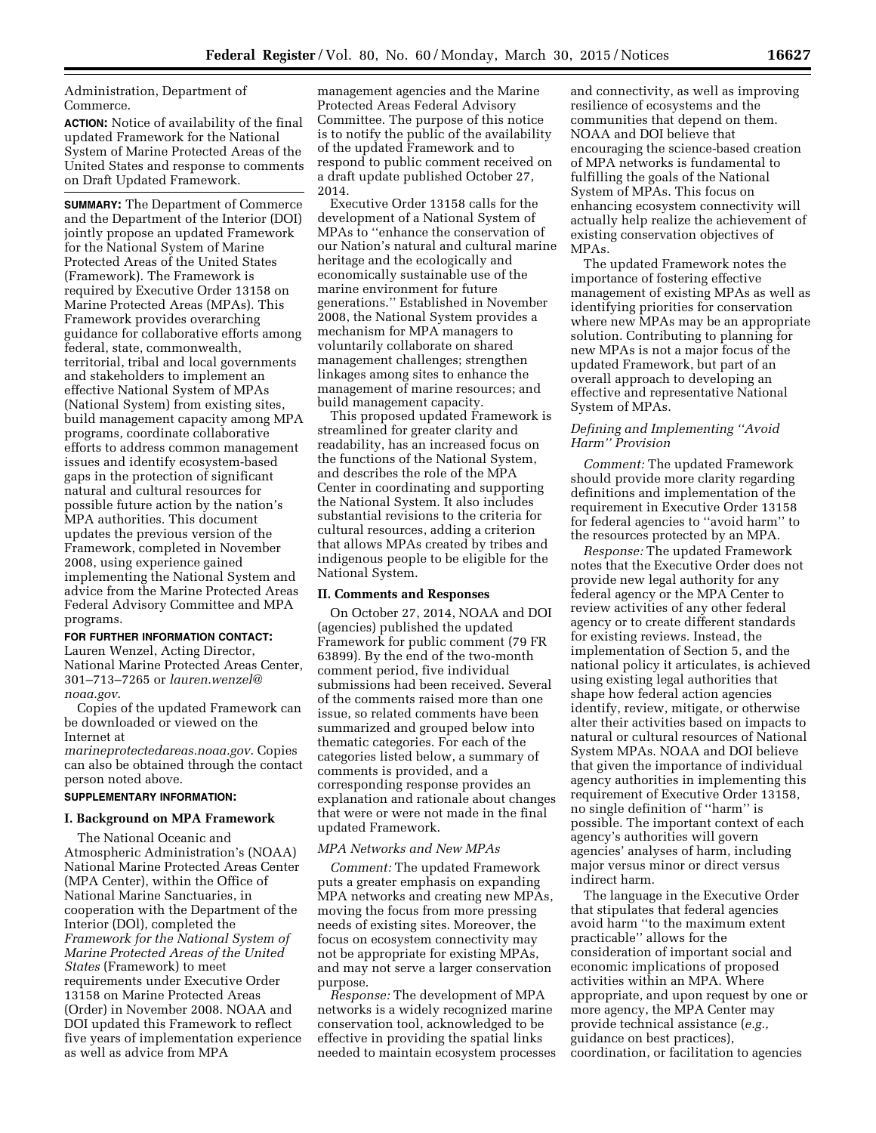Administration, Department of Commerce.

**ACTION:** Notice of availability of the final updated Framework for the National System of Marine Protected Areas of the United States and response to comments on Draft Updated Framework.

**SUMMARY:** The Department of Commerce and the Department of the Interior (DOI) jointly propose an updated Framework for the National System of Marine Protected Areas of the United States (Framework). The Framework is required by Executive Order 13158 on Marine Protected Areas (MPAs). This Framework provides overarching guidance for collaborative efforts among federal, state, commonwealth, territorial, tribal and local governments and stakeholders to implement an effective National System of MPAs (National System) from existing sites, build management capacity among MPA programs, coordinate collaborative efforts to address common management issues and identify ecosystem-based gaps in the protection of significant natural and cultural resources for possible future action by the nation's MPA authorities. This document updates the previous version of the Framework, completed in November 2008, using experience gained implementing the National System and advice from the Marine Protected Areas Federal Advisory Committee and MPA programs.

### **FOR FURTHER INFORMATION CONTACT:**

Lauren Wenzel, Acting Director, National Marine Protected Areas Center, 301–713–7265 or *[lauren.wenzel@](mailto:lauren.wenzel@noaa.gov) [noaa.gov](mailto:lauren.wenzel@noaa.gov)*.

Copies of the updated Framework can be downloaded or viewed on the Internet at

*marineprotectedareas.noaa.gov*. Copies can also be obtained through the contact person noted above.

### **SUPPLEMENTARY INFORMATION:**

### **I. Background on MPA Framework**

The National Oceanic and Atmospheric Administration's (NOAA) National Marine Protected Areas Center (MPA Center), within the Office of National Marine Sanctuaries, in cooperation with the Department of the Interior (DOl), completed the *Framework for the National System of Marine Protected Areas of the United States* (Framework) to meet requirements under Executive Order 13158 on Marine Protected Areas (Order) in November 2008. NOAA and DOI updated this Framework to reflect five years of implementation experience as well as advice from MPA

management agencies and the Marine Protected Areas Federal Advisory Committee. The purpose of this notice is to notify the public of the availability of the updated Framework and to respond to public comment received on a draft update published October 27, 2014.

Executive Order 13158 calls for the development of a National System of MPAs to ''enhance the conservation of our Nation's natural and cultural marine heritage and the ecologically and economically sustainable use of the marine environment for future generations.'' Established in November 2008, the National System provides a mechanism for MPA managers to voluntarily collaborate on shared management challenges; strengthen linkages among sites to enhance the management of marine resources; and build management capacity.

This proposed updated Framework is streamlined for greater clarity and readability, has an increased focus on the functions of the National System, and describes the role of the MPA Center in coordinating and supporting the National System. It also includes substantial revisions to the criteria for cultural resources, adding a criterion that allows MPAs created by tribes and indigenous people to be eligible for the National System.

### **II. Comments and Responses**

On October 27, 2014, NOAA and DOI (agencies) published the updated Framework for public comment (79 FR 63899). By the end of the two-month comment period, five individual submissions had been received. Several of the comments raised more than one issue, so related comments have been summarized and grouped below into thematic categories. For each of the categories listed below, a summary of comments is provided, and a corresponding response provides an explanation and rationale about changes that were or were not made in the final updated Framework.

### *MPA Networks and New MPAs*

*Comment:* The updated Framework puts a greater emphasis on expanding MPA networks and creating new MPAs, moving the focus from more pressing needs of existing sites. Moreover, the focus on ecosystem connectivity may not be appropriate for existing MPAs, and may not serve a larger conservation purpose.

*Response:* The development of MPA networks is a widely recognized marine conservation tool, acknowledged to be effective in providing the spatial links needed to maintain ecosystem processes

and connectivity, as well as improving resilience of ecosystems and the communities that depend on them. NOAA and DOI believe that encouraging the science-based creation of MPA networks is fundamental to fulfilling the goals of the National System of MPAs. This focus on enhancing ecosystem connectivity will actually help realize the achievement of existing conservation objectives of MPAs.

The updated Framework notes the importance of fostering effective management of existing MPAs as well as identifying priorities for conservation where new MPAs may be an appropriate solution. Contributing to planning for new MPAs is not a major focus of the updated Framework, but part of an overall approach to developing an effective and representative National System of MPAs.

## *Defining and Implementing ''Avoid Harm'' Provision*

*Comment:* The updated Framework should provide more clarity regarding definitions and implementation of the requirement in Executive Order 13158 for federal agencies to ''avoid harm'' to the resources protected by an MPA.

*Response:* The updated Framework notes that the Executive Order does not provide new legal authority for any federal agency or the MPA Center to review activities of any other federal agency or to create different standards for existing reviews. Instead, the implementation of Section 5, and the national policy it articulates, is achieved using existing legal authorities that shape how federal action agencies identify, review, mitigate, or otherwise alter their activities based on impacts to natural or cultural resources of National System MPAs. NOAA and DOI believe that given the importance of individual agency authorities in implementing this requirement of Executive Order 13158, no single definition of ''harm'' is possible. The important context of each agency's authorities will govern agencies' analyses of harm, including major versus minor or direct versus indirect harm.

The language in the Executive Order that stipulates that federal agencies avoid harm ''to the maximum extent practicable'' allows for the consideration of important social and economic implications of proposed activities within an MPA. Where appropriate, and upon request by one or more agency, the MPA Center may provide technical assistance (*e.g.,*  guidance on best practices), coordination, or facilitation to agencies